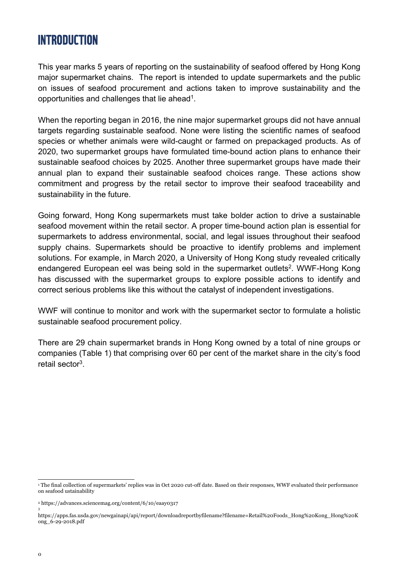# **INTRODUCTION**

This year marks 5 years of reporting on the sustainability of seafood offered by Hong Kong major supermarket chains. The report is intended to update supermarkets and the public on issues of seafood procurement and actions taken to improve sustainability and the opportunities and challenges that lie ahead1.

When the reporting began in 2016, the nine major supermarket groups did not have annual targets regarding sustainable seafood. None were listing the scientific names of seafood species or whether animals were wild-caught or farmed on prepackaged products. As of 2020, two supermarket groups have formulated time-bound action plans to enhance their sustainable seafood choices by 2025. Another three supermarket groups have made their annual plan to expand their sustainable seafood choices range. These actions show commitment and progress by the retail sector to improve their seafood traceability and sustainability in the future.

Going forward, Hong Kong supermarkets must take bolder action to drive a sustainable seafood movement within the retail sector. A proper time-bound action plan is essential for supermarkets to address environmental, social, and legal issues throughout their seafood supply chains. Supermarkets should be proactive to identify problems and implement solutions. For example, in March 2020, a University of Hong Kong study revealed critically endangered European eel was being sold in the supermarket outlets<sup>2</sup>. WWF-Hong Kong has discussed with the supermarket groups to explore possible actions to identify and correct serious problems like this without the catalyst of independent investigations.

WWF will continue to monitor and work with the supermarket sector to formulate a holistic sustainable seafood procurement policy.

There are 29 chain supermarket brands in Hong Kong owned by a total of nine groups or companies (Table 1) that comprising over 60 per cent of the market share in the city's food retail sector3.

3

<sup>1</sup> The final collection of supermarkets' replies was in Oct 2020 cut-off date. Based on their responses, WWF evaluated their performance on seafood ustainability

<sup>2</sup> https://advances.sciencemag.org/content/6/10/eaay0317

https://apps.fas.usda.gov/newgainapi/api/report/downloadreportbyfilename?filename=Retail%20Foods\_Hong%20Kong\_Hong%20K ong\_6-29-2018.pdf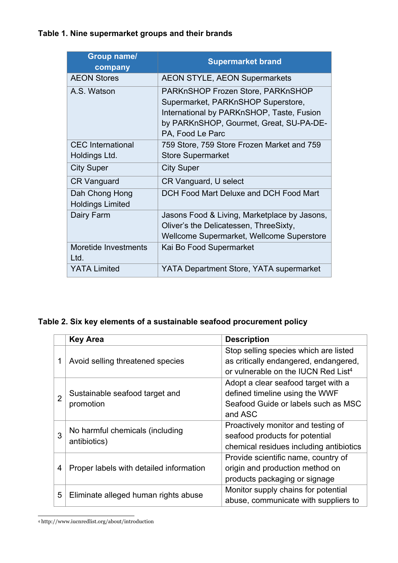# **Table 1. Nine supermarket groups and their brands**

| <b>Group name/</b><br>company             | <b>Supermarket brand</b>                                                                                                                                                            |
|-------------------------------------------|-------------------------------------------------------------------------------------------------------------------------------------------------------------------------------------|
| <b>AEON Stores</b>                        | <b>AEON STYLE, AEON Supermarkets</b>                                                                                                                                                |
| A.S. Watson                               | PARKnSHOP Frozen Store, PARKnSHOP<br>Supermarket, PARKnSHOP Superstore,<br>International by PARKnSHOP, Taste, Fusion<br>by PARKnSHOP, Gourmet, Great, SU-PA-DE-<br>PA, Food Le Parc |
| <b>CEC</b> International<br>Holdings Ltd. | 759 Store, 759 Store Frozen Market and 759<br><b>Store Supermarket</b>                                                                                                              |
| <b>City Super</b>                         | <b>City Super</b>                                                                                                                                                                   |
| <b>CR Vanguard</b>                        | CR Vanguard, U select                                                                                                                                                               |
| Dah Chong Hong<br><b>Holdings Limited</b> | DCH Food Mart Deluxe and DCH Food Mart                                                                                                                                              |
| Dairy Farm                                | Jasons Food & Living, Marketplace by Jasons,<br>Oliver's the Delicatessen, ThreeSixty,<br>Wellcome Supermarket, Wellcome Superstore                                                 |
| Moretide Investments<br>Ltd.              | Kai Bo Food Supermarket                                                                                                                                                             |
| <b>YATA Limited</b>                       | YATA Department Store, YATA supermarket                                                                                                                                             |

# **Table 2. Six key elements of a sustainable seafood procurement policy**

|                | <b>Key Area</b>                         | <b>Description</b>                              |  |  |
|----------------|-----------------------------------------|-------------------------------------------------|--|--|
| 1              |                                         | Stop selling species which are listed           |  |  |
|                | Avoid selling threatened species        | as critically endangered, endangered,           |  |  |
|                |                                         | or vulnerable on the IUCN Red List <sup>4</sup> |  |  |
| $\overline{2}$ |                                         | Adopt a clear seafood target with a             |  |  |
|                | Sustainable seafood target and          | defined timeline using the WWF                  |  |  |
|                | promotion                               | Seafood Guide or labels such as MSC             |  |  |
|                |                                         | and ASC                                         |  |  |
| 3              | No harmful chemicals (including         | Proactively monitor and testing of              |  |  |
|                | antibiotics)                            | seafood products for potential                  |  |  |
|                |                                         | chemical residues including antibiotics         |  |  |
| 4              | Proper labels with detailed information | Provide scientific name, country of             |  |  |
|                |                                         | origin and production method on                 |  |  |
|                |                                         | products packaging or signage                   |  |  |
| 5              | Eliminate alleged human rights abuse    | Monitor supply chains for potential             |  |  |
|                |                                         | abuse, communicate with suppliers to            |  |  |

<sup>4</sup> http://www.iucnredlist.org/about/introduction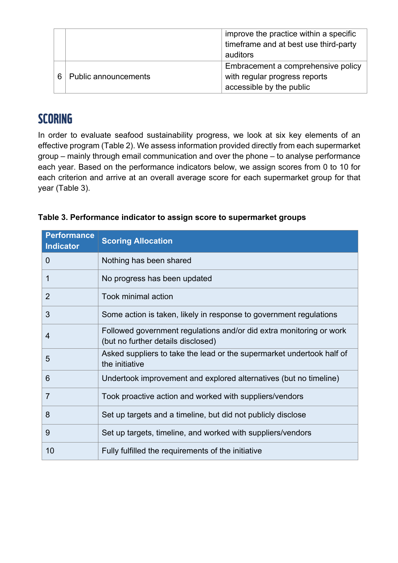|   |                             | improve the practice within a specific<br>timeframe and at best use third-party<br>auditors |  |
|---|-----------------------------|---------------------------------------------------------------------------------------------|--|
| 6 | <b>Public announcements</b> | Embracement a comprehensive policy                                                          |  |
|   |                             | with regular progress reports                                                               |  |
|   |                             | accessible by the public                                                                    |  |

# **SCORING**

In order to evaluate seafood sustainability progress, we look at six key elements of an effective program (Table 2). We assess information provided directly from each supermarket group – mainly through email communication and over the phone – to analyse performance each year. Based on the performance indicators below, we assign scores from 0 to 10 for each criterion and arrive at an overall average score for each supermarket group for that year (Table 3).

| <b>Performance</b><br><b>Indicator</b> | <b>Scoring Allocation</b>                                                                                 |
|----------------------------------------|-----------------------------------------------------------------------------------------------------------|
| $\overline{0}$                         | Nothing has been shared                                                                                   |
| 1                                      | No progress has been updated                                                                              |
| $\overline{2}$                         | Took minimal action                                                                                       |
| 3                                      | Some action is taken, likely in response to government regulations                                        |
| 4                                      | Followed government regulations and/or did extra monitoring or work<br>(but no further details disclosed) |
| 5                                      | Asked suppliers to take the lead or the supermarket undertook half of<br>the initiative                   |
| 6                                      | Undertook improvement and explored alternatives (but no timeline)                                         |
| $\overline{7}$                         | Took proactive action and worked with suppliers/vendors                                                   |
| 8                                      | Set up targets and a timeline, but did not publicly disclose                                              |
| 9                                      | Set up targets, timeline, and worked with suppliers/vendors                                               |
| 10                                     | Fully fulfilled the requirements of the initiative                                                        |

| Table 3. Performance indicator to assign score to supermarket groups |  |  |  |  |  |
|----------------------------------------------------------------------|--|--|--|--|--|
|----------------------------------------------------------------------|--|--|--|--|--|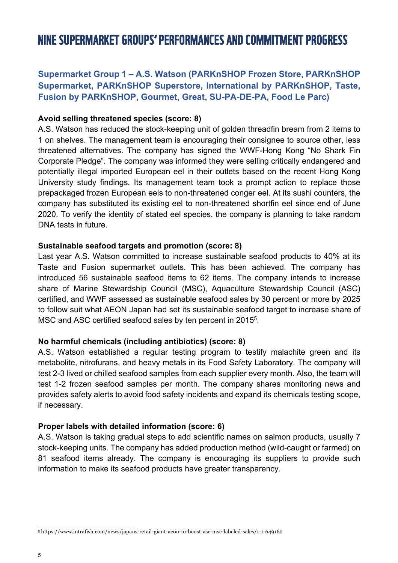# NINE SUPERMARKET GROUPS' PERFORMANCES AND COMMITMENT PROGRESS

# **Supermarket Group 1 – A.S. Watson (PARKnSHOP Frozen Store, PARKnSHOP Supermarket, PARKnSHOP Superstore, International by PARKnSHOP, Taste, Fusion by PARKnSHOP, Gourmet, Great, SU-PA-DE-PA, Food Le Parc)**

#### **Avoid selling threatened species (score: 8)**

A.S. Watson has reduced the stock-keeping unit of golden threadfin bream from 2 items to 1 on shelves. The management team is encouraging their consignee to source other, less threatened alternatives. The company has signed the WWF-Hong Kong "No Shark Fin Corporate Pledge". The company was informed they were selling critically endangered and potentially illegal imported European eel in their outlets based on the recent Hong Kong University study findings. Its management team took a prompt action to replace those prepackaged frozen European eels to non-threatened conger eel. At its sushi counters, the company has substituted its existing eel to non-threatened shortfin eel since end of June 2020. To verify the identity of stated eel species, the company is planning to take random DNA tests in future.

#### **Sustainable seafood targets and promotion (score: 8)**

Last year A.S. Watson committed to increase sustainable seafood products to 40% at its Taste and Fusion supermarket outlets. This has been achieved. The company has introduced 56 sustainable seafood items to 62 items. The company intends to increase share of Marine Stewardship Council (MSC), Aquaculture Stewardship Council (ASC) certified, and WWF assessed as sustainable seafood sales by 30 percent or more by 2025 to follow suit what AEON Japan had set its sustainable seafood target to increase share of MSC and ASC certified seafood sales by ten percent in 2015<sup>5</sup>.

## **No harmful chemicals (including antibiotics) (score: 8)**

A.S. Watson established a regular testing program to testify malachite green and its metabolite, nitrofurans, and heavy metals in its Food Safety Laboratory. The company will test 2-3 lived or chilled seafood samples from each supplier every month. Also, the team will test 1-2 frozen seafood samples per month. The company shares monitoring news and provides safety alerts to avoid food safety incidents and expand its chemicals testing scope, if necessary.

## **Proper labels with detailed information (score: 6)**

A.S. Watson is taking gradual steps to add scientific names on salmon products, usually 7 stock-keeping units. The company has added production method (wild-caught or farmed) on 81 seafood items already. The company is encouraging its suppliers to provide such information to make its seafood products have greater transparency.

<sup>5</sup> https://www.intrafish.com/news/japans-retail-giant-aeon-to-boost-asc-msc-labeled-sales/1-1-649162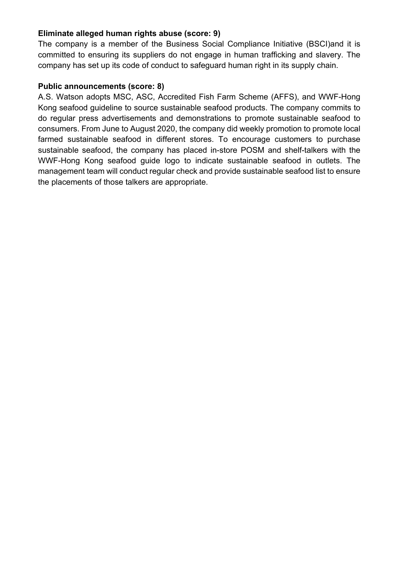## **Eliminate alleged human rights abuse (score: 9)**

The company is a member of the Business Social Compliance Initiative (BSCI)and it is committed to ensuring its suppliers do not engage in human trafficking and slavery. The company has set up its code of conduct to safeguard human right in its supply chain.

### **Public announcements (score: 8)**

A.S. Watson adopts MSC, ASC, Accredited Fish Farm Scheme (AFFS), and WWF-Hong Kong seafood guideline to source sustainable seafood products. The company commits to do regular press advertisements and demonstrations to promote sustainable seafood to consumers. From June to August 2020, the company did weekly promotion to promote local farmed sustainable seafood in different stores. To encourage customers to purchase sustainable seafood, the company has placed in-store POSM and shelf-talkers with the WWF-Hong Kong seafood guide logo to indicate sustainable seafood in outlets. The management team will conduct regular check and provide sustainable seafood list to ensure the placements of those talkers are appropriate.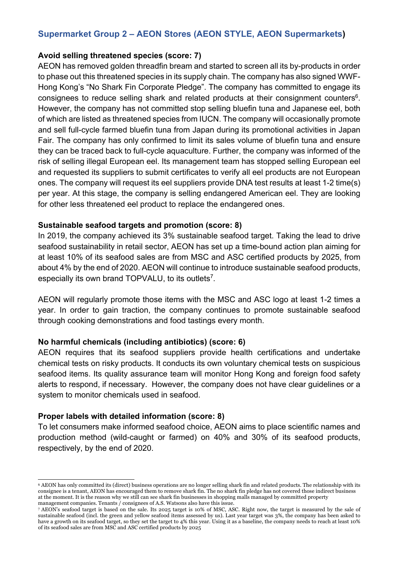# **Supermarket Group 2 – AEON Stores (AEON STYLE, AEON Supermarkets)**

#### **Avoid selling threatened species (score: 7)**

AEON has removed golden threadfin bream and started to screen all its by-products in order to phase out this threatened species in its supply chain. The company has also signed WWF-Hong Kong's "No Shark Fin Corporate Pledge". The company has committed to engage its consignees to reduce selling shark and related products at their consignment counters<sup>6</sup>. However, the company has not committed stop selling bluefin tuna and Japanese eel, both of which are listed as threatened species from IUCN. The company will occasionally promote and sell full-cycle farmed bluefin tuna from Japan during its promotional activities in Japan Fair. The company has only confirmed to limit its sales volume of bluefin tuna and ensure they can be traced back to full-cycle aquaculture. Further, the company was informed of the risk of selling illegal European eel. Its management team has stopped selling European eel and requested its suppliers to submit certificates to verify all eel products are not European ones. The company will request its eel suppliers provide DNA test results at least 1-2 time(s) per year. At this stage, the company is selling endangered American eel. They are looking for other less threatened eel product to replace the endangered ones.

#### **Sustainable seafood targets and promotion (score: 8)**

In 2019, the company achieved its 3% sustainable seafood target. Taking the lead to drive seafood sustainability in retail sector, AEON has set up a time-bound action plan aiming for at least 10% of its seafood sales are from MSC and ASC certified products by 2025, from about 4% by the end of 2020. AEON will continue to introduce sustainable seafood products, especially its own brand TOPVALU, to its outlets<sup>7</sup>.

AEON will regularly promote those items with the MSC and ASC logo at least 1-2 times a year. In order to gain traction, the company continues to promote sustainable seafood through cooking demonstrations and food tastings every month.

#### **No harmful chemicals (including antibiotics) (score: 6)**

AEON requires that its seafood suppliers provide health certifications and undertake chemical tests on risky products. It conducts its own voluntary chemical tests on suspicious seafood items. Its quality assurance team will monitor Hong Kong and foreign food safety alerts to respond, if necessary. However, the company does not have clear guidelines or a system to monitor chemicals used in seafood.

## **Proper labels with detailed information (score: 8)**

To let consumers make informed seafood choice, AEON aims to place scientific names and production method (wild-caught or farmed) on 40% and 30% of its seafood products, respectively, by the end of 2020.

<sup>6</sup> AEON has only committed its (direct) business operations are no longer selling shark fin and related products. The relationship with its consignee is a tenant, AEON has encouraged them to remove shark fin. The no shark fin pledge has not covered those indirect business at the moment. It is the reason why we still can see shark fin businesses in shopping malls managed by committed property management companies. Tenants / consignees of A.S. Watsons also have this issue.

<sup>7</sup> AEON's seafood target is based on the sale. Its 2025 target is 10% of MSC, ASC. Right now, the target is measured by the sale of sustainable seafood (incl. the green and yellow seafood items assessed by us). Last year target was 3%, the company has been asked to have a growth on its seafood target, so they set the target to 4% this year. Using it as a baseline, the company needs to reach at least 10% of its seafood sales are from MSC and ASC certified products by 2025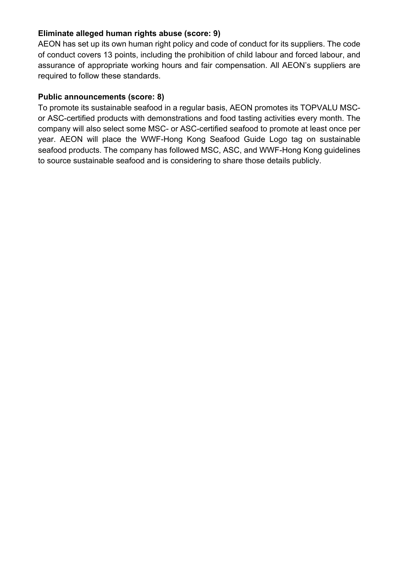## **Eliminate alleged human rights abuse (score: 9)**

AEON has set up its own human right policy and code of conduct for its suppliers. The code of conduct covers 13 points, including the prohibition of child labour and forced labour, and assurance of appropriate working hours and fair compensation. All AEON's suppliers are required to follow these standards.

# **Public announcements (score: 8)**

To promote its sustainable seafood in a regular basis, AEON promotes its TOPVALU MSCor ASC-certified products with demonstrations and food tasting activities every month. The company will also select some MSC- or ASC-certified seafood to promote at least once per year. AEON will place the WWF-Hong Kong Seafood Guide Logo tag on sustainable seafood products. The company has followed MSC, ASC, and WWF-Hong Kong guidelines to source sustainable seafood and is considering to share those details publicly.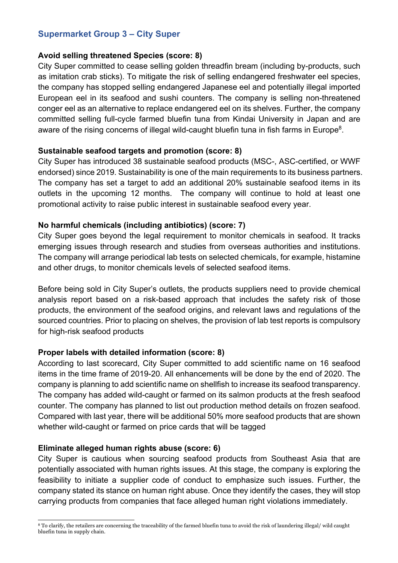# **Supermarket Group 3 – City Super**

#### **Avoid selling threatened Species (score: 8)**

City Super committed to cease selling golden threadfin bream (including by-products, such as imitation crab sticks). To mitigate the risk of selling endangered freshwater eel species, the company has stopped selling endangered Japanese eel and potentially illegal imported European eel in its seafood and sushi counters. The company is selling non-threatened conger eel as an alternative to replace endangered eel on its shelves. Further, the company committed selling full-cycle farmed bluefin tuna from Kindai University in Japan and are aware of the rising concerns of illegal wild-caught bluefin tuna in fish farms in Europe<sup>8</sup>.

#### **Sustainable seafood targets and promotion (score: 8)**

City Super has introduced 38 sustainable seafood products (MSC-, ASC-certified, or WWF endorsed) since 2019. Sustainability is one of the main requirements to its business partners. The company has set a target to add an additional 20% sustainable seafood items in its outlets in the upcoming 12 months. The company will continue to hold at least one promotional activity to raise public interest in sustainable seafood every year.

#### **No harmful chemicals (including antibiotics) (score: 7)**

City Super goes beyond the legal requirement to monitor chemicals in seafood. It tracks emerging issues through research and studies from overseas authorities and institutions. The company will arrange periodical lab tests on selected chemicals, for example, histamine and other drugs, to monitor chemicals levels of selected seafood items.

Before being sold in City Super's outlets, the products suppliers need to provide chemical analysis report based on a risk-based approach that includes the safety risk of those products, the environment of the seafood origins, and relevant laws and regulations of the sourced countries. Prior to placing on shelves, the provision of lab test reports is compulsory for high-risk seafood products

#### **Proper labels with detailed information (score: 8)**

According to last scorecard, City Super committed to add scientific name on 16 seafood items in the time frame of 2019-20. All enhancements will be done by the end of 2020. The company is planning to add scientific name on shellfish to increase its seafood transparency. The company has added wild-caught or farmed on its salmon products at the fresh seafood counter. The company has planned to list out production method details on frozen seafood. Compared with last year, there will be additional 50% more seafood products that are shown whether wild-caught or farmed on price cards that will be tagged

#### **Eliminate alleged human rights abuse (score: 6)**

City Super is cautious when sourcing seafood products from Southeast Asia that are potentially associated with human rights issues. At this stage, the company is exploring the feasibility to initiate a supplier code of conduct to emphasize such issues. Further, the company stated its stance on human right abuse. Once they identify the cases, they will stop carrying products from companies that face alleged human right violations immediately.

<sup>8</sup> To clarify, the retailers are concerning the traceability of the farmed bluefin tuna to avoid the risk of laundering illegal/ wild caught bluefin tuna in supply chain.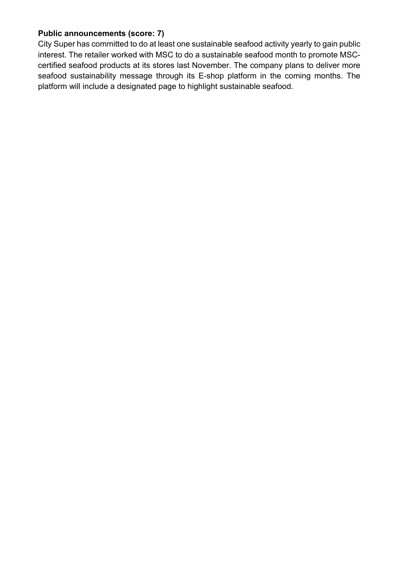# **Public announcements (score: 7)**

City Super has committed to do at least one sustainable seafood activity yearly to gain public interest. The retailer worked with MSC to do a sustainable seafood month to promote MSCcertified seafood products at its stores last November. The company plans to deliver more seafood sustainability message through its E-shop platform in the coming months. The platform will include a designated page to highlight sustainable seafood.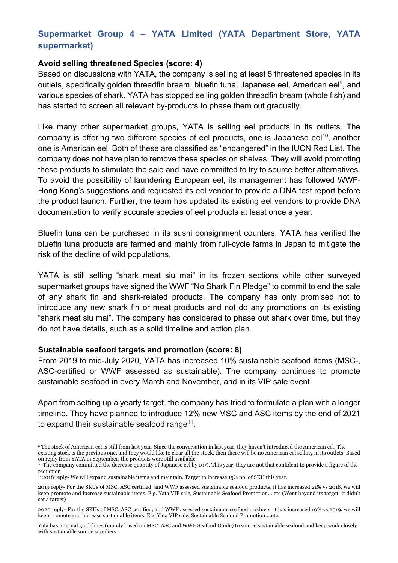# **Supermarket Group 4 – YATA Limited (YATA Department Store, YATA supermarket)**

#### **Avoid selling threatened Species (score: 4)**

Based on discussions with YATA, the company is selling at least 5 threatened species in its outlets, specifically golden threadfin bream, bluefin tuna, Japanese eel, American eel<sup>9</sup>, and various species of shark. YATA has stopped selling golden threadfin bream (whole fish) and has started to screen all relevant by-products to phase them out gradually.

Like many other supermarket groups, YATA is selling eel products in its outlets. The company is offering two different species of eel products, one is Japanese eel<sup>10</sup>, another one is American eel. Both of these are classified as "endangered" in the IUCN Red List. The company does not have plan to remove these species on shelves. They will avoid promoting these products to stimulate the sale and have committed to try to source better alternatives. To avoid the possibility of laundering European eel, its management has followed WWF-Hong Kong's suggestions and requested its eel vendor to provide a DNA test report before the product launch. Further, the team has updated its existing eel vendors to provide DNA documentation to verify accurate species of eel products at least once a year.

Bluefin tuna can be purchased in its sushi consignment counters. YATA has verified the bluefin tuna products are farmed and mainly from full-cycle farms in Japan to mitigate the risk of the decline of wild populations.

YATA is still selling "shark meat siu mai" in its frozen sections while other surveyed supermarket groups have signed the WWF "No Shark Fin Pledge" to commit to end the sale of any shark fin and shark-related products. The company has only promised not to introduce any new shark fin or meat products and not do any promotions on its existing "shark meat siu mai". The company has considered to phase out shark over time, but they do not have details, such as a solid timeline and action plan.

#### **Sustainable seafood targets and promotion (score: 8)**

From 2019 to mid-July 2020, YATA has increased 10% sustainable seafood items (MSC-, ASC-certified or WWF assessed as sustainable). The company continues to promote sustainable seafood in every March and November, and in its VIP sale event.

Apart from setting up a yearly target, the company has tried to formulate a plan with a longer timeline. They have planned to introduce 12% new MSC and ASC items by the end of 2021 to expand their sustainable seafood range<sup>11</sup>.

<sup>9</sup> The stock of American eel is still from last year. Since the conversation in last year, they haven't introduced the American eel. The existing stock is the previous one, and they would like to clear all the stock, then there will be no American eel selling in its outlets. Based on reply from YATA in September, the products were still available

<sup>10</sup> The company committed the decrease quantity of Japanese eel by 10%. This year, they are not that confident to provide a figure of the reduction

<sup>11</sup> 2018 reply- We will expand sustainable items and maintain. Target to increase 15% no. of SKU this year.

<sup>2019</sup> reply- For the SKUs of MSC, ASC certified, and WWF assessed sustainable seafood products, it has increased 21% vs 2018, we will keep promote and increase sustainable items. E.g. Yata VIP sale, Sustainable Seafood Promotion.…etc (Went beyond its target; it didn't set a target)

<sup>2020</sup> reply- For the SKUs of MSC, ASC certified, and WWF assessed sustainable seafood products, it has increased 10% vs 2019, we will keep promote and increase sustainable items. E.g. Yata VIP sale, Sustainable Seafood Promotion.…etc.

Yata has internal guidelines (mainly based on MSC, ASC and WWF Seafood Guide) to source sustainable seafood and keep work closely with sustainable source suppliers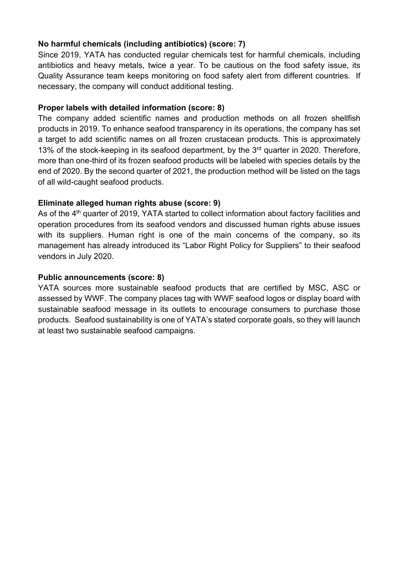# **No harmful chemicals (including antibiotics) (score: 7)**

Since 2019, YATA has conducted regular chemicals test for harmful chemicals, including antibiotics and heavy metals, twice a year. To be cautious on the food safety issue, its Quality Assurance team keeps monitoring on food safety alert from different countries. If necessary, the company will conduct additional testing.

# **Proper labels with detailed information (score: 8)**

The company added scientific names and production methods on all frozen shellfish products in 2019. To enhance seafood transparency in its operations, the company has set a target to add scientific names on all frozen crustacean products. This is approximately 13% of the stock-keeping in its seafood department, by the  $3<sup>rd</sup>$  quarter in 2020. Therefore, more than one-third of its frozen seafood products will be labeled with species details by the end of 2020. By the second quarter of 2021, the production method will be listed on the tags of all wild-caught seafood products.

# **Eliminate alleged human rights abuse (score: 9)**

As of the 4<sup>th</sup> quarter of 2019, YATA started to collect information about factory facilities and operation procedures from its seafood vendors and discussed human rights abuse issues with its suppliers. Human right is one of the main concerns of the company, so its management has already introduced its "Labor Right Policy for Suppliers" to their seafood vendors in July 2020.

# **Public announcements (score: 8)**

YATA sources more sustainable seafood products that are certified by MSC, ASC or assessed by WWF. The company places tag with WWF seafood logos or display board with sustainable seafood message in its outlets to encourage consumers to purchase those products. Seafood sustainability is one of YATA's stated corporate goals, so they will launch at least two sustainable seafood campaigns.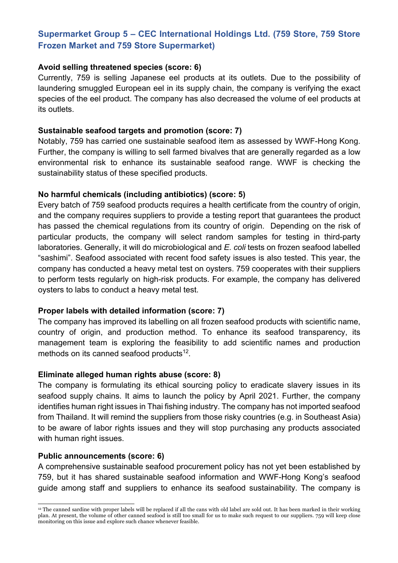# **Supermarket Group 5 – CEC International Holdings Ltd. (759 Store, 759 Store Frozen Market and 759 Store Supermarket)**

#### **Avoid selling threatened species (score: 6)**

Currently, 759 is selling Japanese eel products at its outlets. Due to the possibility of laundering smuggled European eel in its supply chain, the company is verifying the exact species of the eel product. The company has also decreased the volume of eel products at its outlets.

#### **Sustainable seafood targets and promotion (score: 7)**

Notably, 759 has carried one sustainable seafood item as assessed by WWF-Hong Kong. Further, the company is willing to sell farmed bivalves that are generally regarded as a low environmental risk to enhance its sustainable seafood range. WWF is checking the sustainability status of these specified products.

### **No harmful chemicals (including antibiotics) (score: 5)**

Every batch of 759 seafood products requires a health certificate from the country of origin, and the company requires suppliers to provide a testing report that guarantees the product has passed the chemical regulations from its country of origin. Depending on the risk of particular products, the company will select random samples for testing in third-party laboratories. Generally, it will do microbiological and *E. coli* tests on frozen seafood labelled "sashimi". Seafood associated with recent food safety issues is also tested. This year, the company has conducted a heavy metal test on oysters. 759 cooperates with their suppliers to perform tests regularly on high-risk products. For example, the company has delivered oysters to labs to conduct a heavy metal test.

#### **Proper labels with detailed information (score: 7)**

The company has improved its labelling on all frozen seafood products with scientific name, country of origin, and production method. To enhance its seafood transparency, its management team is exploring the feasibility to add scientific names and production methods on its canned seafood products $12$ .

## **Eliminate alleged human rights abuse (score: 8)**

The company is formulating its ethical sourcing policy to eradicate slavery issues in its seafood supply chains. It aims to launch the policy by April 2021. Further, the company identifies human right issues in Thai fishing industry. The company has not imported seafood from Thailand. It will remind the suppliers from those risky countries (e.g. in Southeast Asia) to be aware of labor rights issues and they will stop purchasing any products associated with human right issues.

## **Public announcements (score: 6)**

A comprehensive sustainable seafood procurement policy has not yet been established by 759, but it has shared sustainable seafood information and WWF-Hong Kong's seafood guide among staff and suppliers to enhance its seafood sustainability. The company is

<sup>&</sup>lt;sup>12</sup> The canned sardine with proper labels will be replaced if all the cans with old label are sold out. It has been marked in their working plan. At present, the volume of other canned seafood is still too small for us to make such request to our suppliers. 759 will keep close monitoring on this issue and explore such chance whenever feasible.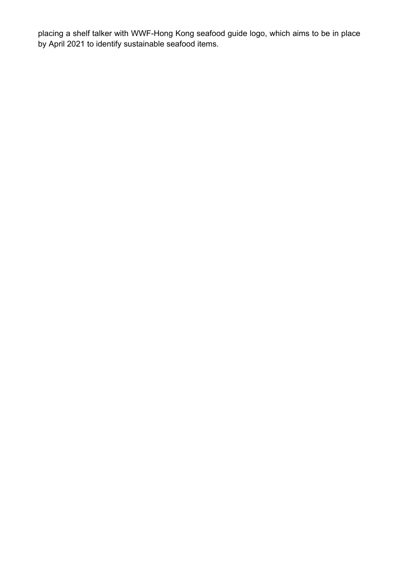placing a shelf talker with WWF-Hong Kong seafood guide logo, which aims to be in place by April 2021 to identify sustainable seafood items.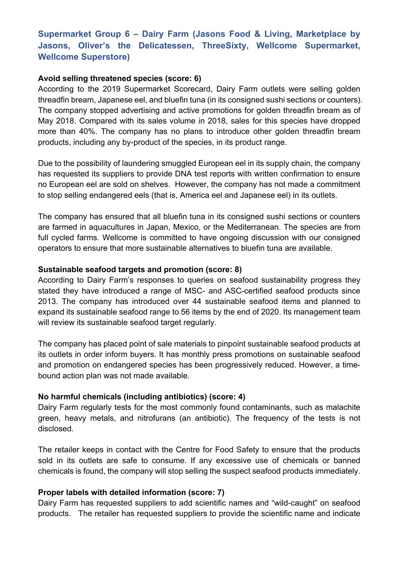# **Supermarket Group 6 – Dairy Farm (Jasons Food & Living, Marketplace by Jasons, Oliver's the Delicatessen, ThreeSixty, Wellcome Supermarket, Wellcome Superstore)**

#### **Avoid selling threatened species (score: 6)**

According to the 2019 Supermarket Scorecard, Dairy Farm outlets were selling golden threadfin bream, Japanese eel, and bluefin tuna (in its consigned sushi sections or counters). The company stopped advertising and active promotions for golden threadfin bream as of May 2018. Compared with its sales volume in 2018, sales for this species have dropped more than 40%. The company has no plans to introduce other golden threadfin bream products, including any by-product of the species, in its product range.

Due to the possibility of laundering smuggled European eel in its supply chain, the company has requested its suppliers to provide DNA test reports with written confirmation to ensure no European eel are sold on shelves. However, the company has not made a commitment to stop selling endangered eels (that is, America eel and Japanese eel) in its outlets.

The company has ensured that all bluefin tuna in its consigned sushi sections or counters are farmed in aquacultures in Japan, Mexico, or the Mediterranean. The species are from full cycled farms. Wellcome is committed to have ongoing discussion with our consigned operators to ensure that more sustainable alternatives to bluefin tuna are available.

#### **Sustainable seafood targets and promotion (score: 8)**

According to Dairy Farm's responses to queries on seafood sustainability progress they stated they have introduced a range of MSC- and ASC-certified seafood products since 2013. The company has introduced over 44 sustainable seafood items and planned to expand its sustainable seafood range to 56 items by the end of 2020. Its management team will review its sustainable seafood target regularly.

The company has placed point of sale materials to pinpoint sustainable seafood products at its outlets in order inform buyers. It has monthly press promotions on sustainable seafood and promotion on endangered species has been progressively reduced. However, a timebound action plan was not made available.

#### **No harmful chemicals (including antibiotics) (score: 4)**

Dairy Farm regularly tests for the most commonly found contaminants, such as malachite green, heavy metals, and nitrofurans (an antibiotic). The frequency of the tests is not disclosed.

The retailer keeps in contact with the Centre for Food Safety to ensure that the products sold in its outlets are safe to consume. If any excessive use of chemicals or banned chemicals is found, the company will stop selling the suspect seafood products immediately.

#### **Proper labels with detailed information (score: 7)**

Dairy Farm has requested suppliers to add scientific names and "wild-caught" on seafood products. The retailer has requested suppliers to provide the scientific name and indicate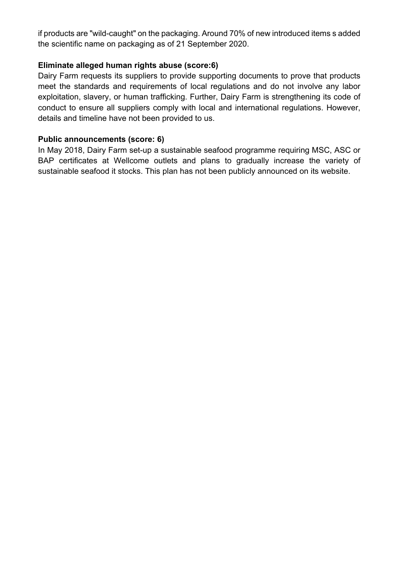if products are "wild-caught" on the packaging. Around 70% of new introduced items s added the scientific name on packaging as of 21 September 2020.

#### **Eliminate alleged human rights abuse (score:6)**

Dairy Farm requests its suppliers to provide supporting documents to prove that products meet the standards and requirements of local regulations and do not involve any labor exploitation, slavery, or human trafficking. Further, Dairy Farm is strengthening its code of conduct to ensure all suppliers comply with local and international regulations. However, details and timeline have not been provided to us.

#### **Public announcements (score: 6)**

In May 2018, Dairy Farm set-up a sustainable seafood programme requiring MSC, ASC or BAP certificates at Wellcome outlets and plans to gradually increase the variety of sustainable seafood it stocks. This plan has not been publicly announced on its website.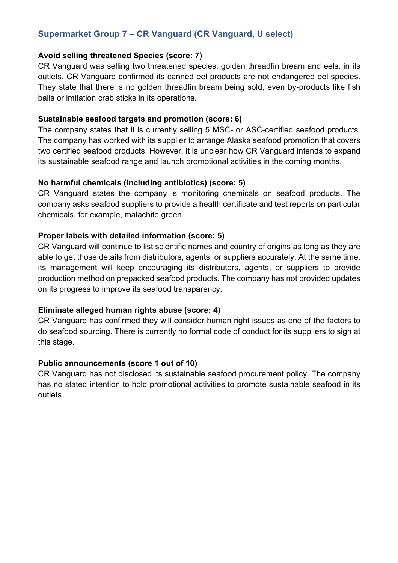# **Supermarket Group 7 – CR Vanguard (CR Vanguard, U select)**

### **Avoid selling threatened Species (score: 7)**

CR Vanguard was selling two threatened species, golden threadfin bream and eels, in its outlets. CR Vanguard confirmed its canned eel products are not endangered eel species. They state that there is no golden threadfin bream being sold, even by-products like fish balls or imitation crab sticks in its operations.

#### **Sustainable seafood targets and promotion (score: 6)**

The company states that it is currently selling 5 MSC- or ASC-certified seafood products. The company has worked with its supplier to arrange Alaska seafood promotion that covers two certified seafood products. However, it is unclear how CR Vanguard intends to expand its sustainable seafood range and launch promotional activities in the coming months.

#### **No harmful chemicals (including antibiotics) (score: 5)**

CR Vanguard states the company is monitoring chemicals on seafood products. The company asks seafood suppliers to provide a health certificate and test reports on particular chemicals, for example, malachite green.

#### **Proper labels with detailed information (score: 5)**

CR Vanguard will continue to list scientific names and country of origins as long as they are able to get those details from distributors, agents, or suppliers accurately. At the same time, its management will keep encouraging its distributors, agents, or suppliers to provide production method on prepacked seafood products. The company has not provided updates on its progress to improve its seafood transparency.

## **Eliminate alleged human rights abuse (score: 4)**

CR Vanguard has confirmed they will consider human right issues as one of the factors to do seafood sourcing. There is currently no formal code of conduct for its suppliers to sign at this stage.

## **Public announcements (score 1 out of 10)**

CR Vanguard has not disclosed its sustainable seafood procurement policy. The company has no stated intention to hold promotional activities to promote sustainable seafood in its outlets.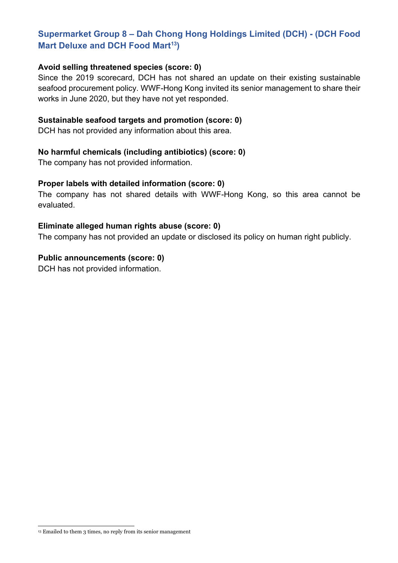# **Supermarket Group 8 – Dah Chong Hong Holdings Limited (DCH) - (DCH Food Mart Deluxe and DCH Food Mart<sup>13</sup>**)

#### **Avoid selling threatened species (score: 0)**

Since the 2019 scorecard, DCH has not shared an update on their existing sustainable seafood procurement policy. WWF-Hong Kong invited its senior management to share their works in June 2020, but they have not yet responded.

#### **Sustainable seafood targets and promotion (score: 0)**

DCH has not provided any information about this area.

#### **No harmful chemicals (including antibiotics) (score: 0)**

The company has not provided information.

#### **Proper labels with detailed information (score: 0)**

The company has not shared details with WWF-Hong Kong, so this area cannot be evaluated.

#### **Eliminate alleged human rights abuse (score: 0)**

The company has not provided an update or disclosed its policy on human right publicly.

#### **Public announcements (score: 0)**

DCH has not provided information.

<sup>&</sup>lt;sup>13</sup> Emailed to them 3 times, no reply from its senior management